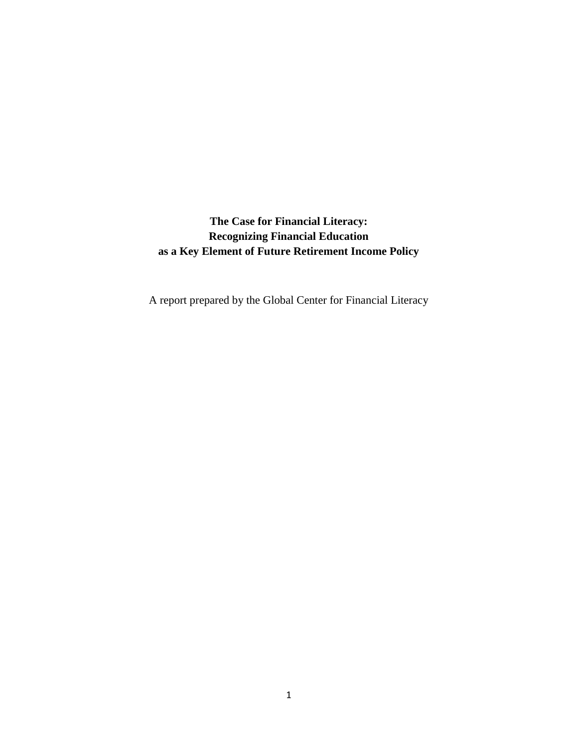**The Case for Financial Literacy: Recognizing Financial Education as a Key Element of Future Retirement Income Policy**

A report prepared by the Global Center for Financial Literacy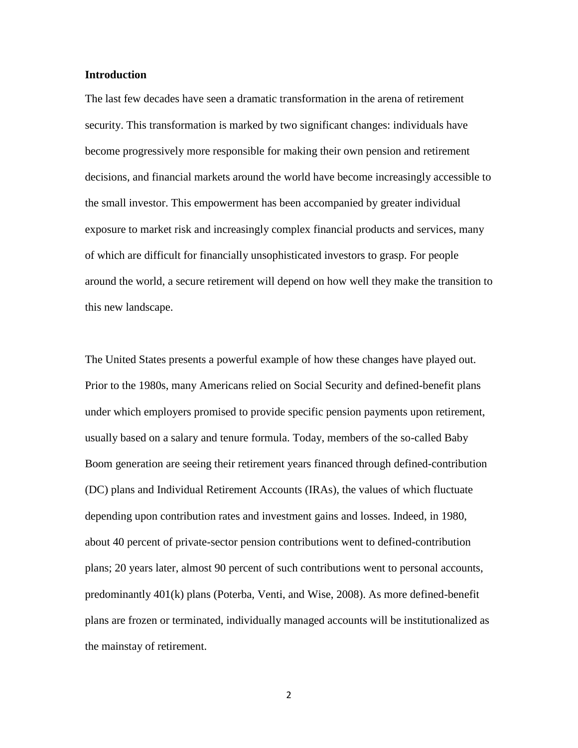### **Introduction**

The last few decades have seen a dramatic transformation in the arena of retirement security. This transformation is marked by two significant changes: individuals have become progressively more responsible for making their own pension and retirement decisions, and financial markets around the world have become increasingly accessible to the small investor. This empowerment has been accompanied by greater individual exposure to market risk and increasingly complex financial products and services, many of which are difficult for financially unsophisticated investors to grasp. For people around the world, a secure retirement will depend on how well they make the transition to this new landscape.

The United States presents a powerful example of how these changes have played out. Prior to the 1980s, many Americans relied on Social Security and defined-benefit plans under which employers promised to provide specific pension payments upon retirement, usually based on a salary and tenure formula. Today, members of the so-called Baby Boom generation are seeing their retirement years financed through defined-contribution (DC) plans and Individual Retirement Accounts (IRAs), the values of which fluctuate depending upon contribution rates and investment gains and losses. Indeed, in 1980, about 40 percent of private-sector pension contributions went to defined-contribution plans; 20 years later, almost 90 percent of such contributions went to personal accounts, predominantly 401(k) plans (Poterba, Venti, and Wise, 2008). As more defined-benefit plans are frozen or terminated, individually managed accounts will be institutionalized as the mainstay of retirement.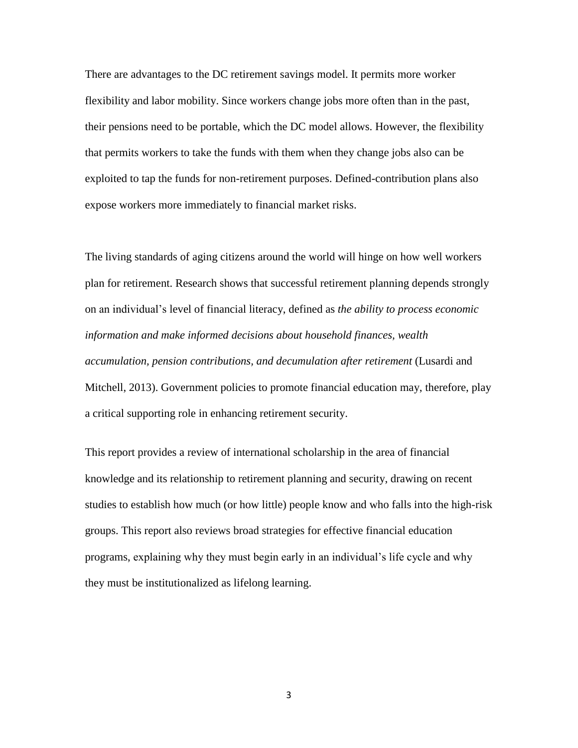There are advantages to the DC retirement savings model. It permits more worker flexibility and labor mobility. Since workers change jobs more often than in the past, their pensions need to be portable, which the DC model allows. However, the flexibility that permits workers to take the funds with them when they change jobs also can be exploited to tap the funds for non-retirement purposes. Defined-contribution plans also expose workers more immediately to financial market risks.

The living standards of aging citizens around the world will hinge on how well workers plan for retirement. Research shows that successful retirement planning depends strongly on an individual's level of financial literacy, defined as *the ability to process economic information and make informed decisions about household finances, wealth accumulation, pension contributions, and decumulation after retirement* (Lusardi and Mitchell, 2013). Government policies to promote financial education may, therefore, play a critical supporting role in enhancing retirement security.

This report provides a review of international scholarship in the area of financial knowledge and its relationship to retirement planning and security, drawing on recent studies to establish how much (or how little) people know and who falls into the high-risk groups. This report also reviews broad strategies for effective financial education programs, explaining why they must begin early in an individual's life cycle and why they must be institutionalized as lifelong learning.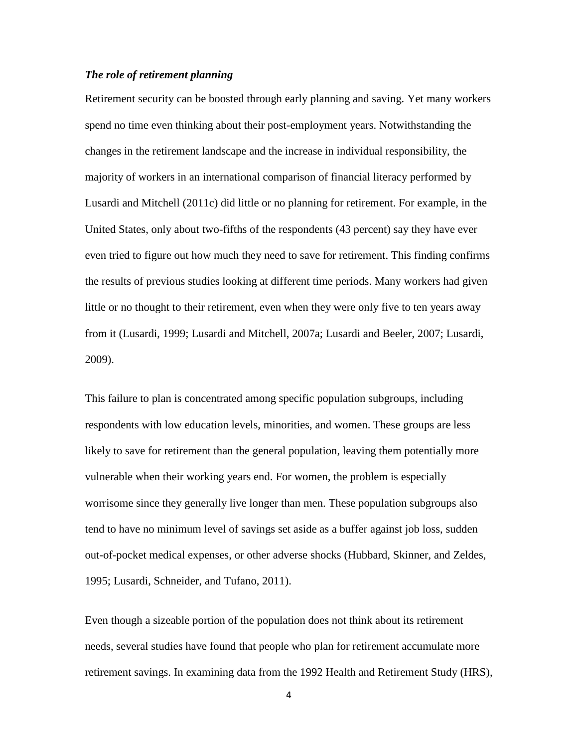# *The role of retirement planning*

Retirement security can be boosted through early planning and saving. Yet many workers spend no time even thinking about their post-employment years. Notwithstanding the changes in the retirement landscape and the increase in individual responsibility, the majority of workers in an international comparison of financial literacy performed by Lusardi and Mitchell (2011c) did little or no planning for retirement. For example, in the United States, only about two-fifths of the respondents (43 percent) say they have ever even tried to figure out how much they need to save for retirement. This finding confirms the results of previous studies looking at different time periods. Many workers had given little or no thought to their retirement, even when they were only five to ten years away from it (Lusardi, 1999; Lusardi and Mitchell, 2007a; Lusardi and Beeler, 2007; Lusardi, 2009).

This failure to plan is concentrated among specific population subgroups, including respondents with low education levels, minorities, and women. These groups are less likely to save for retirement than the general population, leaving them potentially more vulnerable when their working years end. For women, the problem is especially worrisome since they generally live longer than men. These population subgroups also tend to have no minimum level of savings set aside as a buffer against job loss, sudden out-of-pocket medical expenses, or other adverse shocks (Hubbard, Skinner, and Zeldes, 1995; Lusardi, Schneider, and Tufano, 2011).

Even though a sizeable portion of the population does not think about its retirement needs, several studies have found that people who plan for retirement accumulate more retirement savings. In examining data from the 1992 Health and Retirement Study (HRS),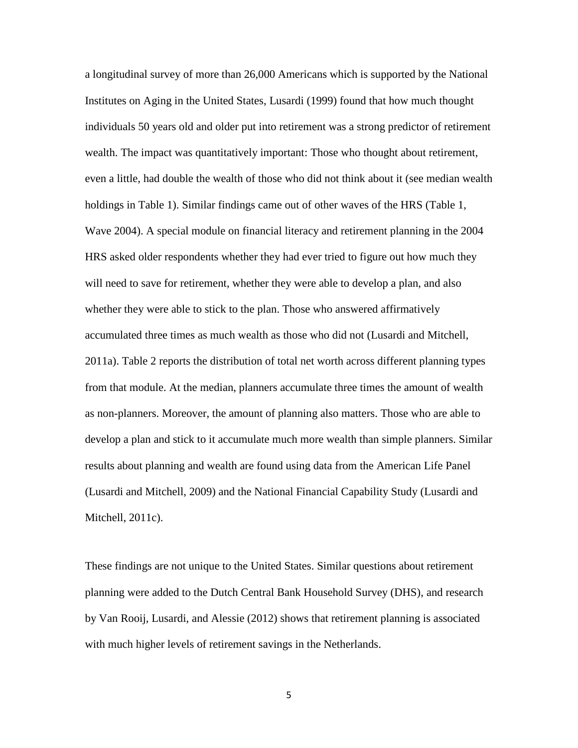a longitudinal survey of more than 26,000 Americans which is supported by the National Institutes on Aging in the United States, Lusardi (1999) found that how much thought individuals 50 years old and older put into retirement was a strong predictor of retirement wealth. The impact was quantitatively important: Those who thought about retirement, even a little, had double the wealth of those who did not think about it (see median wealth holdings in Table 1). Similar findings came out of other waves of the HRS (Table 1, Wave 2004). A special module on financial literacy and retirement planning in the 2004 HRS asked older respondents whether they had ever tried to figure out how much they will need to save for retirement, whether they were able to develop a plan, and also whether they were able to stick to the plan. Those who answered affirmatively accumulated three times as much wealth as those who did not (Lusardi and Mitchell, 2011a). Table 2 reports the distribution of total net worth across different planning types from that module. At the median, planners accumulate three times the amount of wealth as non-planners. Moreover, the amount of planning also matters. Those who are able to develop a plan and stick to it accumulate much more wealth than simple planners. Similar results about planning and wealth are found using data from the American Life Panel (Lusardi and Mitchell, 2009) and the National Financial Capability Study (Lusardi and Mitchell, 2011c).

These findings are not unique to the United States. Similar questions about retirement planning were added to the Dutch Central Bank Household Survey (DHS), and research by Van Rooij, Lusardi, and Alessie (2012) shows that retirement planning is associated with much higher levels of retirement savings in the Netherlands.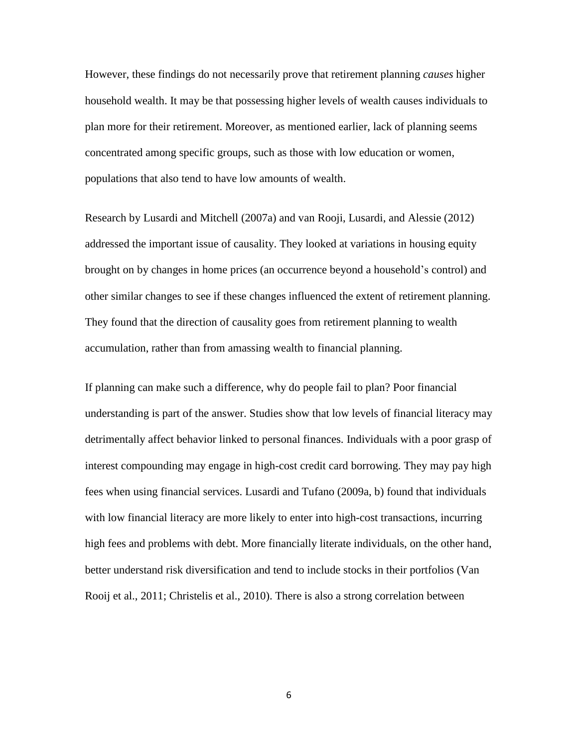However, these findings do not necessarily prove that retirement planning *causes* higher household wealth. It may be that possessing higher levels of wealth causes individuals to plan more for their retirement. Moreover, as mentioned earlier, lack of planning seems concentrated among specific groups, such as those with low education or women, populations that also tend to have low amounts of wealth.

Research by Lusardi and Mitchell (2007a) and van Rooji, Lusardi, and Alessie (2012) addressed the important issue of causality. They looked at variations in housing equity brought on by changes in home prices (an occurrence beyond a household's control) and other similar changes to see if these changes influenced the extent of retirement planning. They found that the direction of causality goes from retirement planning to wealth accumulation, rather than from amassing wealth to financial planning.

If planning can make such a difference, why do people fail to plan? Poor financial understanding is part of the answer. Studies show that low levels of financial literacy may detrimentally affect behavior linked to personal finances. Individuals with a poor grasp of interest compounding may engage in high-cost credit card borrowing. They may pay high fees when using financial services. Lusardi and Tufano (2009a, b) found that individuals with low financial literacy are more likely to enter into high-cost transactions, incurring high fees and problems with debt. More financially literate individuals, on the other hand, better understand risk diversification and tend to include stocks in their portfolios (Van Rooij et al., 2011; Christelis et al., 2010). There is also a strong correlation between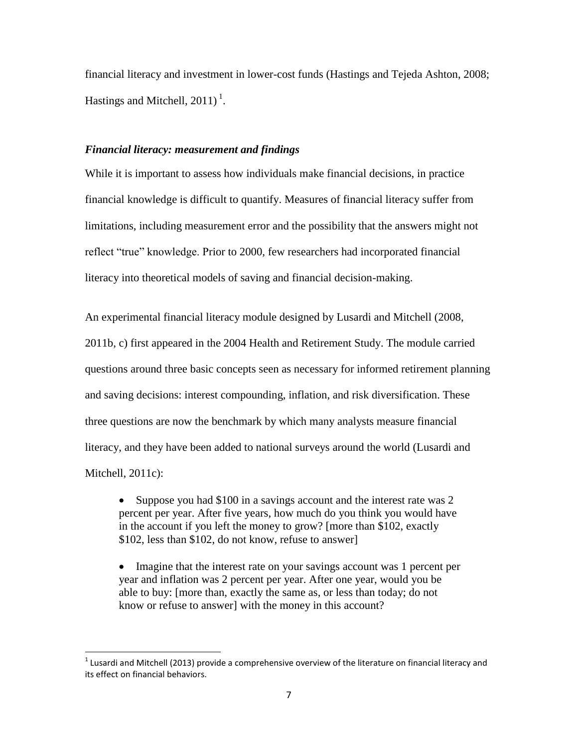financial literacy and investment in lower-cost funds (Hastings and Tejeda Ashton, 2008; Hastings and Mitchell,  $2011$ )<sup>1</sup>.

## *Financial literacy: measurement and findings*

While it is important to assess how individuals make financial decisions, in practice financial knowledge is difficult to quantify. Measures of financial literacy suffer from limitations, including measurement error and the possibility that the answers might not reflect "true" knowledge. Prior to 2000, few researchers had incorporated financial literacy into theoretical models of saving and financial decision-making.

An experimental financial literacy module designed by Lusardi and Mitchell (2008, 2011b, c) first appeared in the 2004 Health and Retirement Study. The module carried questions around three basic concepts seen as necessary for informed retirement planning and saving decisions: interest compounding, inflation, and risk diversification. These three questions are now the benchmark by which many analysts measure financial literacy, and they have been added to national surveys around the world (Lusardi and Mitchell, 2011c):

• Suppose you had \$100 in a savings account and the interest rate was 2 percent per year. After five years, how much do you think you would have in the account if you left the money to grow? [more than \$102, exactly \$102, less than \$102, do not know, refuse to answer]

• Imagine that the interest rate on your savings account was 1 percent per year and inflation was 2 percent per year. After one year, would you be able to buy: [more than, exactly the same as, or less than today; do not know or refuse to answer] with the money in this account?

l

 $^1$  Lusardi and Mitchell (2013) provide a comprehensive overview of the literature on financial literacy and its effect on financial behaviors.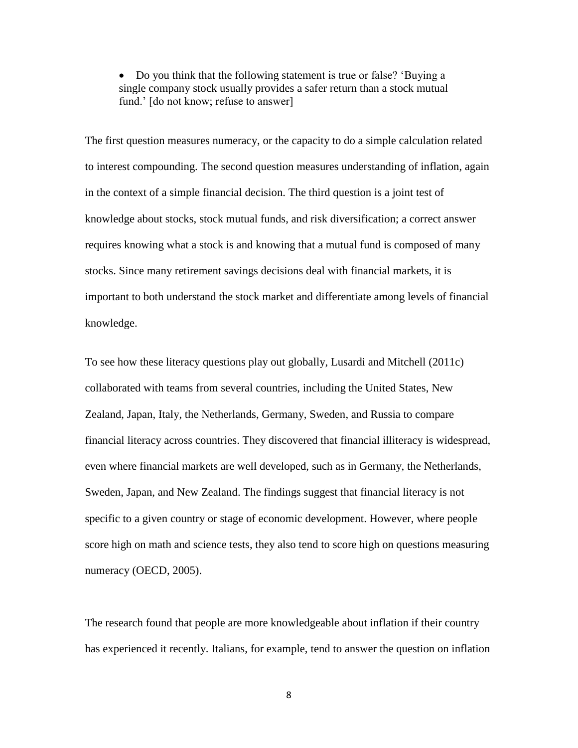• Do you think that the following statement is true or false? 'Buying a single company stock usually provides a safer return than a stock mutual fund.' [do not know; refuse to answer]

The first question measures numeracy, or the capacity to do a simple calculation related to interest compounding. The second question measures understanding of inflation, again in the context of a simple financial decision. The third question is a joint test of knowledge about stocks, stock mutual funds, and risk diversification; a correct answer requires knowing what a stock is and knowing that a mutual fund is composed of many stocks. Since many retirement savings decisions deal with financial markets, it is important to both understand the stock market and differentiate among levels of financial knowledge.

To see how these literacy questions play out globally, Lusardi and Mitchell (2011c) collaborated with teams from several countries, including the United States, New Zealand, Japan, Italy, the Netherlands, Germany, Sweden, and Russia to compare financial literacy across countries. They discovered that financial illiteracy is widespread, even where financial markets are well developed, such as in Germany, the Netherlands, Sweden, Japan, and New Zealand. The findings suggest that financial literacy is not specific to a given country or stage of economic development. However, where people score high on math and science tests, they also tend to score high on questions measuring numeracy (OECD, 2005).

The research found that people are more knowledgeable about inflation if their country has experienced it recently. Italians, for example, tend to answer the question on inflation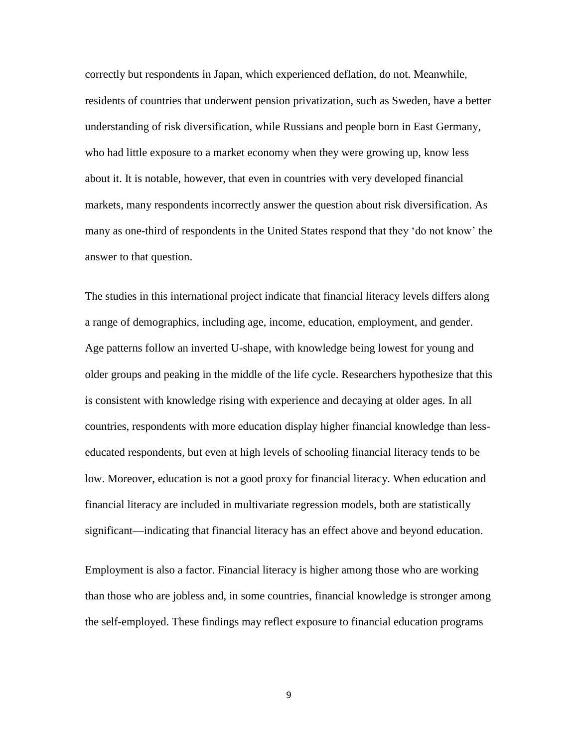correctly but respondents in Japan, which experienced deflation, do not. Meanwhile, residents of countries that underwent pension privatization, such as Sweden, have a better understanding of risk diversification, while Russians and people born in East Germany, who had little exposure to a market economy when they were growing up, know less about it. It is notable, however, that even in countries with very developed financial markets, many respondents incorrectly answer the question about risk diversification. As many as one-third of respondents in the United States respond that they 'do not know' the answer to that question.

The studies in this international project indicate that financial literacy levels differs along a range of demographics, including age, income, education, employment, and gender. Age patterns follow an inverted U-shape, with knowledge being lowest for young and older groups and peaking in the middle of the life cycle. Researchers hypothesize that this is consistent with knowledge rising with experience and decaying at older ages. In all countries, respondents with more education display higher financial knowledge than lesseducated respondents, but even at high levels of schooling financial literacy tends to be low. Moreover, education is not a good proxy for financial literacy. When education and financial literacy are included in multivariate regression models, both are statistically significant—indicating that financial literacy has an effect above and beyond education.

Employment is also a factor. Financial literacy is higher among those who are working than those who are jobless and, in some countries, financial knowledge is stronger among the self-employed. These findings may reflect exposure to financial education programs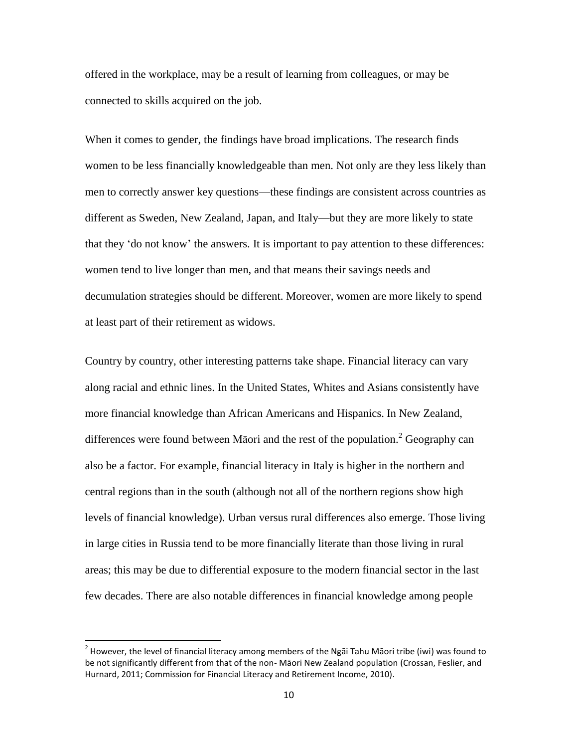offered in the workplace, may be a result of learning from colleagues, or may be connected to skills acquired on the job.

When it comes to gender, the findings have broad implications. The research finds women to be less financially knowledgeable than men. Not only are they less likely than men to correctly answer key questions—these findings are consistent across countries as different as Sweden, New Zealand, Japan, and Italy—but they are more likely to state that they 'do not know' the answers. It is important to pay attention to these differences: women tend to live longer than men, and that means their savings needs and decumulation strategies should be different. Moreover, women are more likely to spend at least part of their retirement as widows.

Country by country, other interesting patterns take shape. Financial literacy can vary along racial and ethnic lines. In the United States, Whites and Asians consistently have more financial knowledge than African Americans and Hispanics. In New Zealand, differences were found between Māori and the rest of the population.<sup>2</sup> Geography can also be a factor. For example, financial literacy in Italy is higher in the northern and central regions than in the south (although not all of the northern regions show high levels of financial knowledge). Urban versus rural differences also emerge. Those living in large cities in Russia tend to be more financially literate than those living in rural areas; this may be due to differential exposure to the modern financial sector in the last few decades. There are also notable differences in financial knowledge among people

 $\overline{\phantom{a}}$ 

 $^2$  However, the level of financial literacy among members of the Ngāi Tahu Māori tribe (iwi) was found to be not significantly different from that of the non- Māori New Zealand population (Crossan, Feslier, and Hurnard, 2011; Commission for Financial Literacy and Retirement Income, 2010).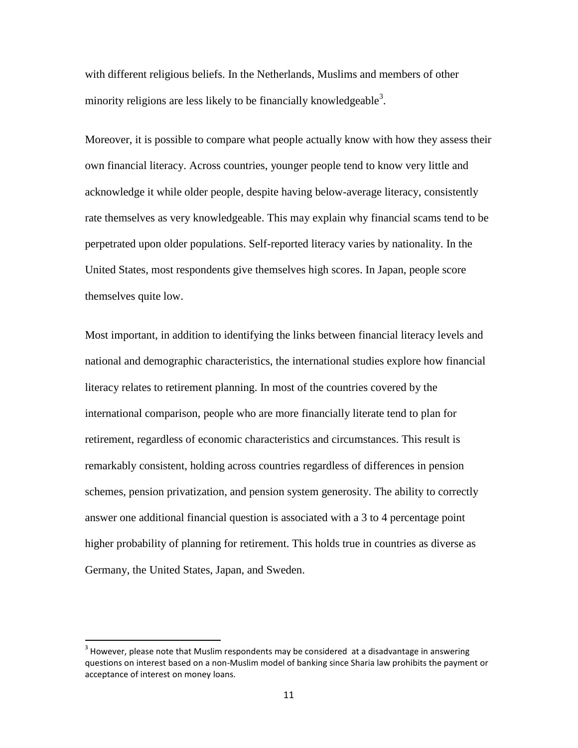with different religious beliefs. In the Netherlands, Muslims and members of other minority religions are less likely to be financially knowledgeable<sup>3</sup>.

Moreover, it is possible to compare what people actually know with how they assess their own financial literacy. Across countries, younger people tend to know very little and acknowledge it while older people, despite having below-average literacy, consistently rate themselves as very knowledgeable. This may explain why financial scams tend to be perpetrated upon older populations. Self-reported literacy varies by nationality. In the United States, most respondents give themselves high scores. In Japan, people score themselves quite low.

Most important, in addition to identifying the links between financial literacy levels and national and demographic characteristics, the international studies explore how financial literacy relates to retirement planning. In most of the countries covered by the international comparison, people who are more financially literate tend to plan for retirement, regardless of economic characteristics and circumstances. This result is remarkably consistent, holding across countries regardless of differences in pension schemes, pension privatization, and pension system generosity. The ability to correctly answer one additional financial question is associated with a 3 to 4 percentage point higher probability of planning for retirement. This holds true in countries as diverse as Germany, the United States, Japan, and Sweden.

 $\overline{\phantom{a}}$ 

 $3$  However, please note that Muslim respondents may be considered at a disadvantage in answering questions on interest based on a non-Muslim model of banking since Sharia law prohibits the payment or acceptance of interest on money loans.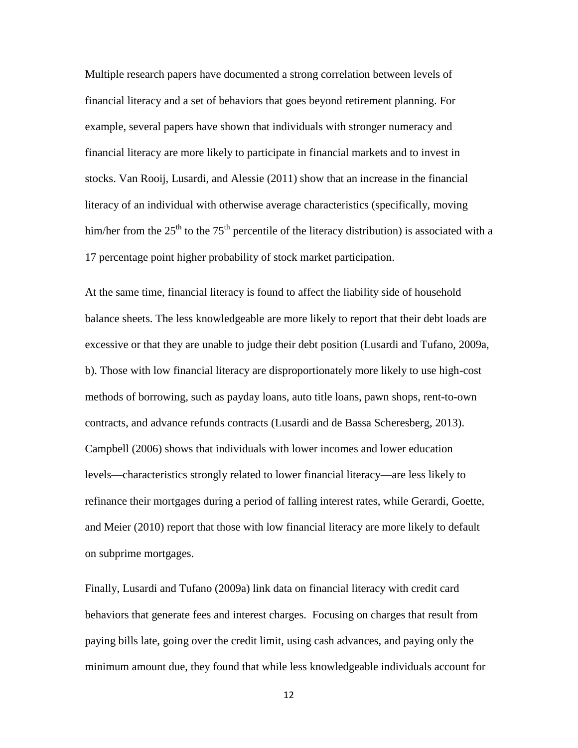Multiple research papers have documented a strong correlation between levels of financial literacy and a set of behaviors that goes beyond retirement planning. For example, several papers have shown that individuals with stronger numeracy and financial literacy are more likely to participate in financial markets and to invest in stocks. Van Rooij, Lusardi, and Alessie (2011) show that an increase in the financial literacy of an individual with otherwise average characteristics (specifically, moving him/her from the  $25<sup>th</sup>$  to the 75<sup>th</sup> percentile of the literacy distribution) is associated with a 17 percentage point higher probability of stock market participation.

At the same time, financial literacy is found to affect the liability side of household balance sheets. The less knowledgeable are more likely to report that their debt loads are excessive or that they are unable to judge their debt position (Lusardi and Tufano, 2009a, b). Those with low financial literacy are disproportionately more likely to use high-cost methods of borrowing, such as payday loans, auto title loans, pawn shops, rent-to-own contracts, and advance refunds contracts (Lusardi and de Bassa Scheresberg, 2013). Campbell (2006) shows that individuals with lower incomes and lower education levels—characteristics strongly related to lower financial literacy—are less likely to refinance their mortgages during a period of falling interest rates, while Gerardi, Goette, and Meier (2010) report that those with low financial literacy are more likely to default on subprime mortgages.

Finally, Lusardi and Tufano (2009a) link data on financial literacy with credit card behaviors that generate fees and interest charges. Focusing on charges that result from paying bills late, going over the credit limit, using cash advances, and paying only the minimum amount due, they found that while less knowledgeable individuals account for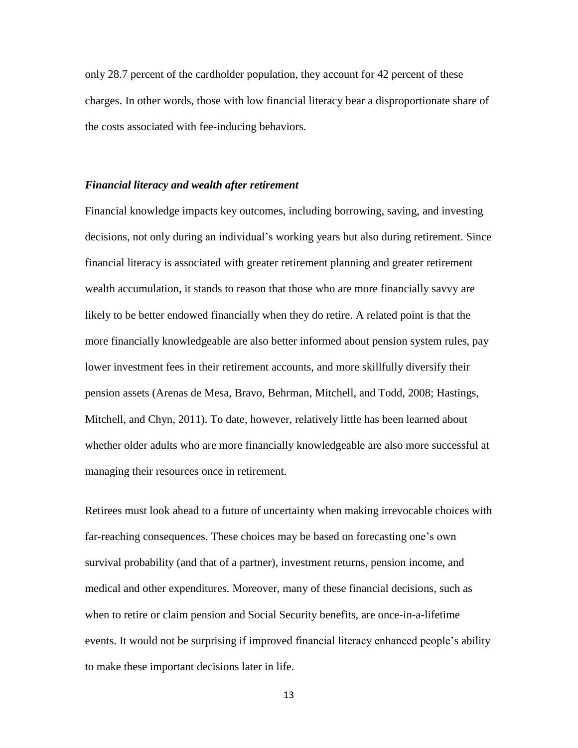only 28.7 percent of the cardholder population, they account for 42 percent of these charges. In other words, those with low financial literacy bear a disproportionate share of the costs associated with fee-inducing behaviors.

#### *Financial literacy and wealth after retirement*

Financial knowledge impacts key outcomes, including borrowing, saving, and investing decisions, not only during an individual's working years but also during retirement. Since financial literacy is associated with greater retirement planning and greater retirement wealth accumulation, it stands to reason that those who are more financially savvy are likely to be better endowed financially when they do retire. A related point is that the more financially knowledgeable are also better informed about pension system rules, pay lower investment fees in their retirement accounts, and more skillfully diversify their pension assets (Arenas de Mesa, Bravo, Behrman, Mitchell, and Todd, 2008; Hastings, Mitchell, and Chyn, 2011). To date, however, relatively little has been learned about whether older adults who are more financially knowledgeable are also more successful at managing their resources once in retirement.

Retirees must look ahead to a future of uncertainty when making irrevocable choices with far-reaching consequences. These choices may be based on forecasting one's own survival probability (and that of a partner), investment returns, pension income, and medical and other expenditures. Moreover, many of these financial decisions, such as when to retire or claim pension and Social Security benefits, are once-in-a-lifetime events. It would not be surprising if improved financial literacy enhanced people's ability to make these important decisions later in life.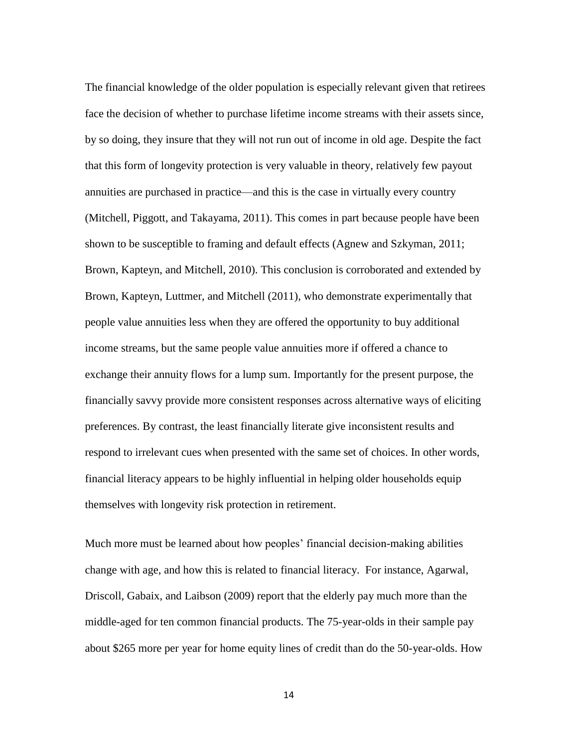The financial knowledge of the older population is especially relevant given that retirees face the decision of whether to purchase lifetime income streams with their assets since, by so doing, they insure that they will not run out of income in old age. Despite the fact that this form of longevity protection is very valuable in theory, relatively few payout annuities are purchased in practice—and this is the case in virtually every country (Mitchell, Piggott, and Takayama, 2011). This comes in part because people have been shown to be susceptible to framing and default effects (Agnew and Szkyman, 2011; Brown, Kapteyn, and Mitchell, 2010). This conclusion is corroborated and extended by Brown, Kapteyn, Luttmer, and Mitchell (2011), who demonstrate experimentally that people value annuities less when they are offered the opportunity to buy additional income streams, but the same people value annuities more if offered a chance to exchange their annuity flows for a lump sum. Importantly for the present purpose, the financially savvy provide more consistent responses across alternative ways of eliciting preferences. By contrast, the least financially literate give inconsistent results and respond to irrelevant cues when presented with the same set of choices. In other words, financial literacy appears to be highly influential in helping older households equip themselves with longevity risk protection in retirement.

Much more must be learned about how peoples' financial decision-making abilities change with age, and how this is related to financial literacy. For instance, Agarwal, Driscoll, Gabaix, and Laibson (2009) report that the elderly pay much more than the middle-aged for ten common financial products. The 75-year-olds in their sample pay about \$265 more per year for home equity lines of credit than do the 50-year-olds. How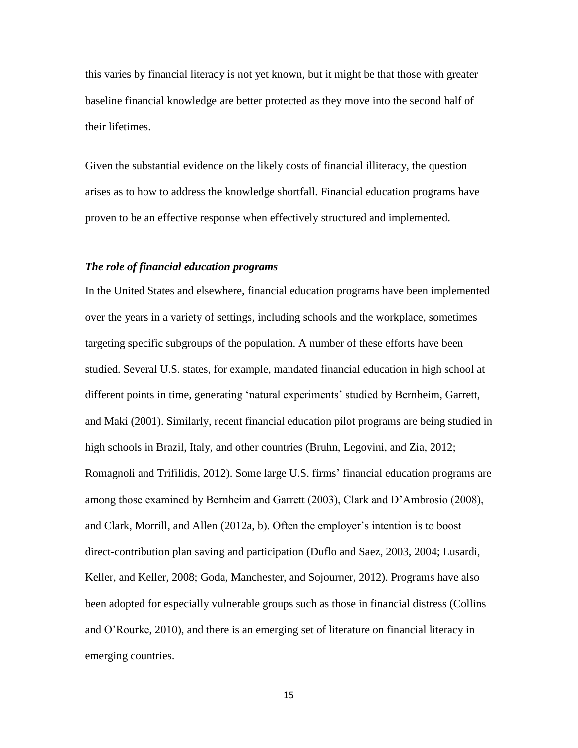this varies by financial literacy is not yet known, but it might be that those with greater baseline financial knowledge are better protected as they move into the second half of their lifetimes.

Given the substantial evidence on the likely costs of financial illiteracy, the question arises as to how to address the knowledge shortfall. Financial education programs have proven to be an effective response when effectively structured and implemented.

# *The role of financial education programs*

In the United States and elsewhere, financial education programs have been implemented over the years in a variety of settings, including schools and the workplace, sometimes targeting specific subgroups of the population. A number of these efforts have been studied. Several U.S. states, for example, mandated financial education in high school at different points in time, generating 'natural experiments' studied by Bernheim, Garrett, and Maki (2001). Similarly, recent financial education pilot programs are being studied in high schools in Brazil, Italy, and other countries (Bruhn, Legovini, and Zia, 2012; Romagnoli and Trifilidis, 2012). Some large U.S. firms' financial education programs are among those examined by Bernheim and Garrett (2003), Clark and D'Ambrosio (2008), and Clark, Morrill, and Allen (2012a, b). Often the employer's intention is to boost direct-contribution plan saving and participation (Duflo and Saez, 2003, 2004; Lusardi, Keller, and Keller, 2008; Goda, Manchester, and Sojourner, 2012). Programs have also been adopted for especially vulnerable groups such as those in financial distress (Collins and O'Rourke, 2010), and there is an emerging set of literature on financial literacy in emerging countries.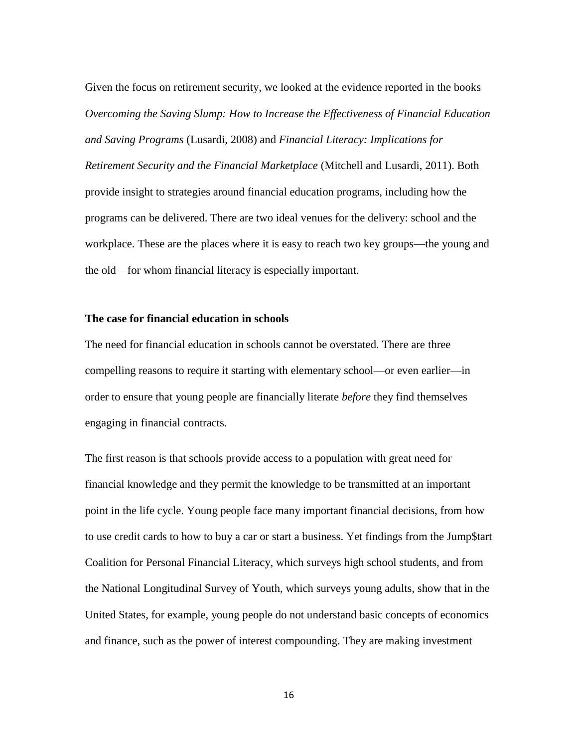Given the focus on retirement security, we looked at the evidence reported in the books *Overcoming the Saving Slump: How to Increase the Effectiveness of Financial Education and Saving Programs* (Lusardi, 2008) and *Financial Literacy: Implications for Retirement Security and the Financial Marketplace* (Mitchell and Lusardi, 2011). Both provide insight to strategies around financial education programs, including how the programs can be delivered. There are two ideal venues for the delivery: school and the workplace. These are the places where it is easy to reach two key groups—the young and the old—for whom financial literacy is especially important.

## **The case for financial education in schools**

The need for financial education in schools cannot be overstated. There are three compelling reasons to require it starting with elementary school—or even earlier—in order to ensure that young people are financially literate *before* they find themselves engaging in financial contracts.

The first reason is that schools provide access to a population with great need for financial knowledge and they permit the knowledge to be transmitted at an important point in the life cycle. Young people face many important financial decisions, from how to use credit cards to how to buy a car or start a business. Yet findings from the Jump\$tart Coalition for Personal Financial Literacy, which surveys high school students, and from the National Longitudinal Survey of Youth, which surveys young adults, show that in the United States, for example, young people do not understand basic concepts of economics and finance, such as the power of interest compounding. They are making investment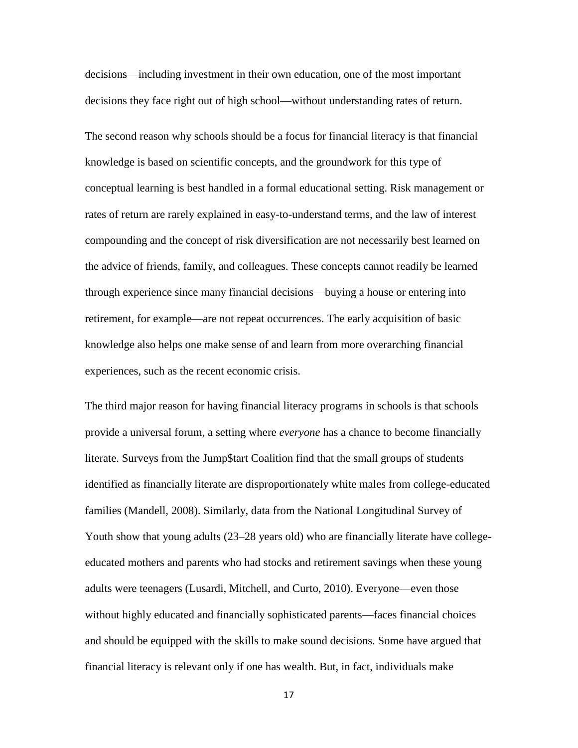decisions—including investment in their own education, one of the most important decisions they face right out of high school—without understanding rates of return.

The second reason why schools should be a focus for financial literacy is that financial knowledge is based on scientific concepts, and the groundwork for this type of conceptual learning is best handled in a formal educational setting. Risk management or rates of return are rarely explained in easy-to-understand terms, and the law of interest compounding and the concept of risk diversification are not necessarily best learned on the advice of friends, family, and colleagues. These concepts cannot readily be learned through experience since many financial decisions—buying a house or entering into retirement, for example—are not repeat occurrences. The early acquisition of basic knowledge also helps one make sense of and learn from more overarching financial experiences, such as the recent economic crisis.

The third major reason for having financial literacy programs in schools is that schools provide a universal forum, a setting where *everyone* has a chance to become financially literate. Surveys from the Jump\$tart Coalition find that the small groups of students identified as financially literate are disproportionately white males from college-educated families (Mandell, 2008). Similarly, data from the National Longitudinal Survey of Youth show that young adults (23–28 years old) who are financially literate have collegeeducated mothers and parents who had stocks and retirement savings when these young adults were teenagers (Lusardi, Mitchell, and Curto, 2010). Everyone—even those without highly educated and financially sophisticated parents—faces financial choices and should be equipped with the skills to make sound decisions. Some have argued that financial literacy is relevant only if one has wealth. But, in fact, individuals make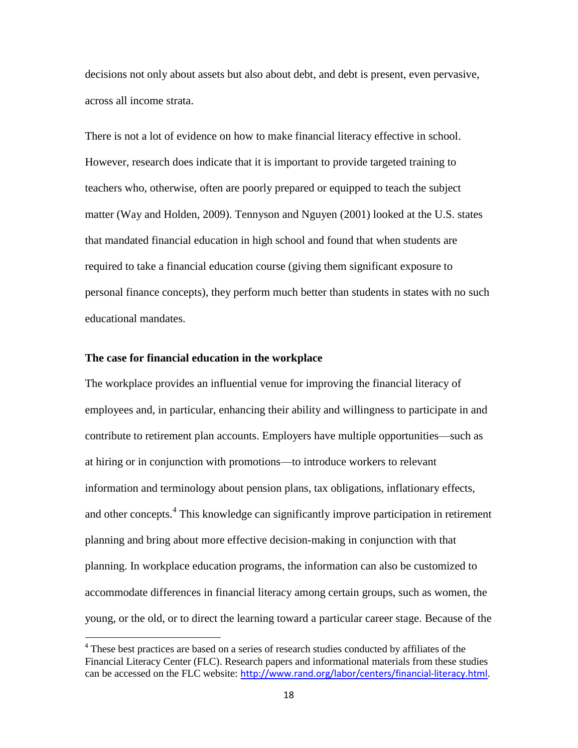decisions not only about assets but also about debt, and debt is present, even pervasive, across all income strata.

There is not a lot of evidence on how to make financial literacy effective in school. However, research does indicate that it is important to provide targeted training to teachers who, otherwise, often are poorly prepared or equipped to teach the subject matter (Way and Holden, 2009). Tennyson and Nguyen (2001) looked at the U.S. states that mandated financial education in high school and found that when students are required to take a financial education course (giving them significant exposure to personal finance concepts), they perform much better than students in states with no such educational mandates.

### **The case for financial education in the workplace**

 $\overline{a}$ 

The workplace provides an influential venue for improving the financial literacy of employees and, in particular, enhancing their ability and willingness to participate in and contribute to retirement plan accounts. Employers have multiple opportunities—such as at hiring or in conjunction with promotions—to introduce workers to relevant information and terminology about pension plans, tax obligations, inflationary effects, and other concepts.<sup>4</sup> This knowledge can significantly improve participation in retirement planning and bring about more effective decision-making in conjunction with that planning. In workplace education programs, the information can also be customized to accommodate differences in financial literacy among certain groups, such as women, the young, or the old, or to direct the learning toward a particular career stage. Because of the

<sup>&</sup>lt;sup>4</sup> These best practices are based on a series of research studies conducted by affiliates of the Financial Literacy Center (FLC). Research papers and informational materials from these studies can be accessed on the FLC website: <http://www.rand.org/labor/centers/financial-literacy.html>.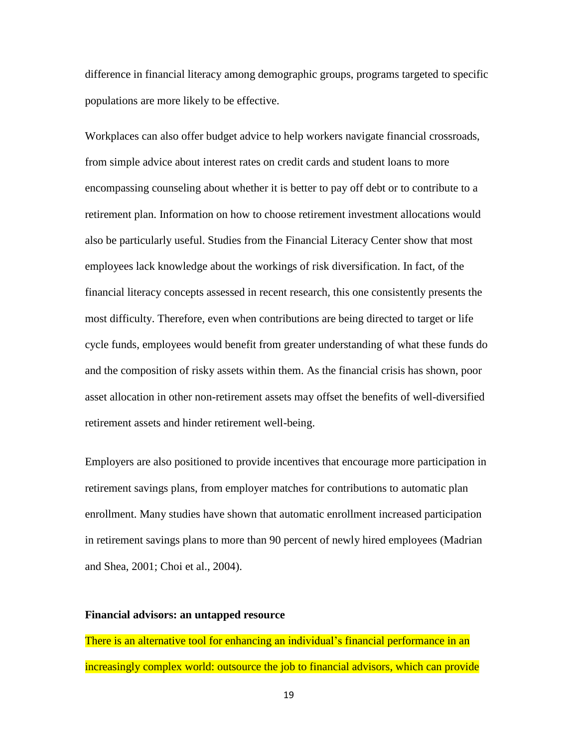difference in financial literacy among demographic groups, programs targeted to specific populations are more likely to be effective.

Workplaces can also offer budget advice to help workers navigate financial crossroads, from simple advice about interest rates on credit cards and student loans to more encompassing counseling about whether it is better to pay off debt or to contribute to a retirement plan. Information on how to choose retirement investment allocations would also be particularly useful. Studies from the Financial Literacy Center show that most employees lack knowledge about the workings of risk diversification. In fact, of the financial literacy concepts assessed in recent research, this one consistently presents the most difficulty. Therefore, even when contributions are being directed to target or life cycle funds, employees would benefit from greater understanding of what these funds do and the composition of risky assets within them. As the financial crisis has shown, poor asset allocation in other non-retirement assets may offset the benefits of well-diversified retirement assets and hinder retirement well-being.

Employers are also positioned to provide incentives that encourage more participation in retirement savings plans, from employer matches for contributions to automatic plan enrollment. Many studies have shown that automatic enrollment increased participation in retirement savings plans to more than 90 percent of newly hired employees (Madrian and Shea, 2001; Choi et al., 2004).

### **Financial advisors: an untapped resource**

There is an alternative tool for enhancing an individual's financial performance in an increasingly complex world: outsource the job to financial advisors, which can provide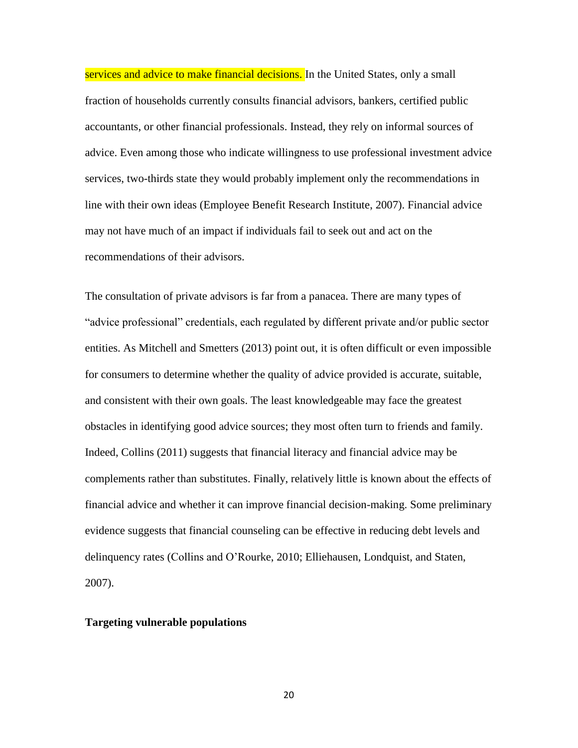services and advice to make financial decisions. In the United States, only a small fraction of households currently consults financial advisors, bankers, certified public accountants, or other financial professionals. Instead, they rely on informal sources of advice. Even among those who indicate willingness to use professional investment advice services, two-thirds state they would probably implement only the recommendations in line with their own ideas (Employee Benefit Research Institute, 2007). Financial advice may not have much of an impact if individuals fail to seek out and act on the recommendations of their advisors.

The consultation of private advisors is far from a panacea. There are many types of "advice professional" credentials, each regulated by different private and/or public sector entities. As Mitchell and Smetters (2013) point out, it is often difficult or even impossible for consumers to determine whether the quality of advice provided is accurate, suitable, and consistent with their own goals. The least knowledgeable may face the greatest obstacles in identifying good advice sources; they most often turn to friends and family. Indeed, Collins (2011) suggests that financial literacy and financial advice may be complements rather than substitutes. Finally, relatively little is known about the effects of financial advice and whether it can improve financial decision-making. Some preliminary evidence suggests that financial counseling can be effective in reducing debt levels and delinquency rates (Collins and O'Rourke, 2010; Elliehausen, Londquist, and Staten, 2007).

#### **Targeting vulnerable populations**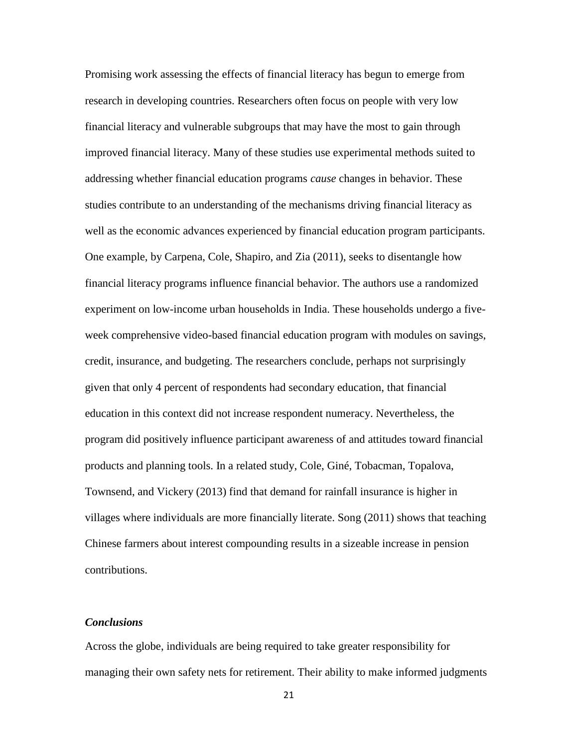Promising work assessing the effects of financial literacy has begun to emerge from research in developing countries. Researchers often focus on people with very low financial literacy and vulnerable subgroups that may have the most to gain through improved financial literacy. Many of these studies use experimental methods suited to addressing whether financial education programs *cause* changes in behavior. These studies contribute to an understanding of the mechanisms driving financial literacy as well as the economic advances experienced by financial education program participants. One example, by Carpena, Cole, Shapiro, and Zia (2011), seeks to disentangle how financial literacy programs influence financial behavior. The authors use a randomized experiment on low-income urban households in India. These households undergo a fiveweek comprehensive video-based financial education program with modules on savings, credit, insurance, and budgeting. The researchers conclude, perhaps not surprisingly given that only 4 percent of respondents had secondary education, that financial education in this context did not increase respondent numeracy. Nevertheless, the program did positively influence participant awareness of and attitudes toward financial products and planning tools. In a related study, Cole, Giné, Tobacman, Topalova, Townsend, and Vickery (2013) find that demand for rainfall insurance is higher in villages where individuals are more financially literate. Song (2011) shows that teaching Chinese farmers about interest compounding results in a sizeable increase in pension contributions.

# *Conclusions*

Across the globe, individuals are being required to take greater responsibility for managing their own safety nets for retirement. Their ability to make informed judgments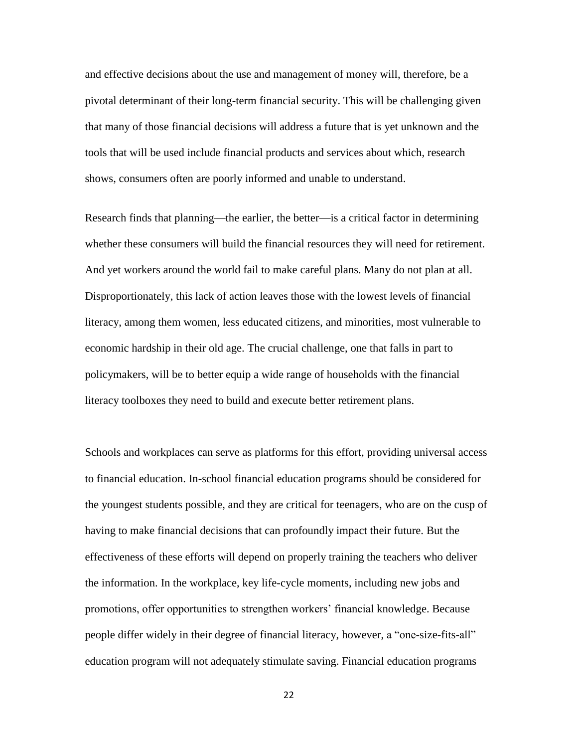and effective decisions about the use and management of money will, therefore, be a pivotal determinant of their long-term financial security. This will be challenging given that many of those financial decisions will address a future that is yet unknown and the tools that will be used include financial products and services about which, research shows, consumers often are poorly informed and unable to understand.

Research finds that planning—the earlier, the better—is a critical factor in determining whether these consumers will build the financial resources they will need for retirement. And yet workers around the world fail to make careful plans. Many do not plan at all. Disproportionately, this lack of action leaves those with the lowest levels of financial literacy, among them women, less educated citizens, and minorities, most vulnerable to economic hardship in their old age. The crucial challenge, one that falls in part to policymakers, will be to better equip a wide range of households with the financial literacy toolboxes they need to build and execute better retirement plans.

Schools and workplaces can serve as platforms for this effort, providing universal access to financial education. In-school financial education programs should be considered for the youngest students possible, and they are critical for teenagers, who are on the cusp of having to make financial decisions that can profoundly impact their future. But the effectiveness of these efforts will depend on properly training the teachers who deliver the information. In the workplace, key life-cycle moments, including new jobs and promotions, offer opportunities to strengthen workers' financial knowledge. Because people differ widely in their degree of financial literacy, however, a "one-size-fits-all" education program will not adequately stimulate saving. Financial education programs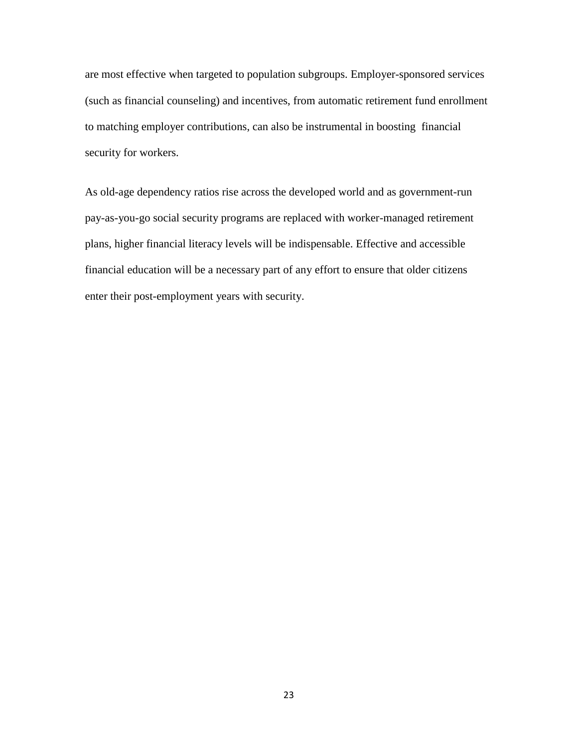are most effective when targeted to population subgroups. Employer-sponsored services (such as financial counseling) and incentives, from automatic retirement fund enrollment to matching employer contributions, can also be instrumental in boosting financial security for workers.

As old-age dependency ratios rise across the developed world and as government-run pay-as-you-go social security programs are replaced with worker-managed retirement plans, higher financial literacy levels will be indispensable. Effective and accessible financial education will be a necessary part of any effort to ensure that older citizens enter their post-employment years with security.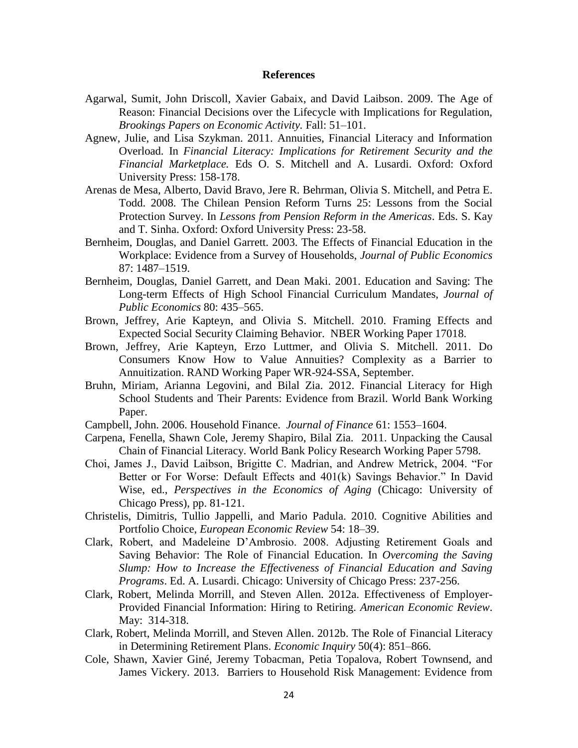#### **References**

- Agarwal, Sumit, John Driscoll, Xavier Gabaix, and David Laibson. 2009. The Age of Reason: Financial Decisions over the Lifecycle with Implications for Regulation, *Brookings Papers on Economic Activity.* Fall: 51–101.
- Agnew, Julie, and Lisa Szykman. 2011. Annuities, Financial Literacy and Information Overload. In *Financial Literacy: Implications for Retirement Security and the Financial Marketplace.* Eds O. S. Mitchell and A. Lusardi. Oxford: Oxford University Press: 158-178.
- Arenas de Mesa, Alberto, David Bravo, Jere R. Behrman, Olivia S. Mitchell, and Petra E. Todd. 2008. The Chilean Pension Reform Turns 25: Lessons from the Social Protection Survey. In *Lessons from Pension Reform in the Americas*. Eds. S. Kay and T. Sinha. Oxford: Oxford University Press: 23-58.
- Bernheim, Douglas, and Daniel Garrett. 2003. The Effects of Financial Education in the Workplace: Evidence from a Survey of Households, *Journal of Public Economics* 87: 1487–1519.
- Bernheim, Douglas, Daniel Garrett, and Dean Maki. 2001. Education and Saving: The Long-term Effects of High School Financial Curriculum Mandates, *Journal of Public Economics* 80: 435–565.
- Brown, Jeffrey, Arie Kapteyn, and Olivia S. Mitchell. 2010. Framing Effects and Expected Social Security Claiming Behavior. NBER Working Paper 17018.
- Brown, Jeffrey, Arie Kapteyn, Erzo Luttmer, and Olivia S. Mitchell. 2011. Do Consumers Know How to Value Annuities? Complexity as a Barrier to Annuitization. RAND Working Paper WR-924-SSA, September.
- Bruhn, Miriam, Arianna Legovini, and Bilal Zia. 2012. Financial Literacy for High School Students and Their Parents: Evidence from Brazil. World Bank Working Paper.
- Campbell, John. 2006. Household Finance. *Journal of Finance* 61: 1553–1604.
- Carpena, Fenella, Shawn Cole, Jeremy Shapiro, Bilal Zia. 2011. Unpacking the Causal Chain of Financial Literacy. World Bank Policy Research Working Paper 5798.
- Choi, James J., David Laibson, Brigitte C. Madrian, and Andrew Metrick, 2004. "For Better or For Worse: Default Effects and 401(k) Savings Behavior." In David Wise, ed., *Perspectives in the Economics of Aging* (Chicago: University of Chicago Press), pp. 81-121.
- Christelis, Dimitris, Tullio Jappelli, and Mario Padula. 2010. Cognitive Abilities and Portfolio Choice, *European Economic Review* 54: 18–39.
- Clark, Robert, and Madeleine D'Ambrosio. 2008. Adjusting Retirement Goals and Saving Behavior: The Role of Financial Education. In *Overcoming the Saving Slump: How to Increase the Effectiveness of Financial Education and Saving Programs*. Ed. A. Lusardi. Chicago: University of Chicago Press: 237-256.
- Clark, Robert, Melinda Morrill, and Steven Allen. 2012a. Effectiveness of Employer-Provided Financial Information: Hiring to Retiring. *American Economic Review*. May: 314-318.
- Clark, Robert, Melinda Morrill, and Steven Allen. 2012b. The Role of Financial Literacy in Determining Retirement Plans. *Economic Inquiry* 50(4): 851–866.
- Cole, Shawn, Xavier Giné, Jeremy Tobacman, Petia Topalova, Robert Townsend, and James Vickery. 2013. Barriers to Household Risk Management: Evidence from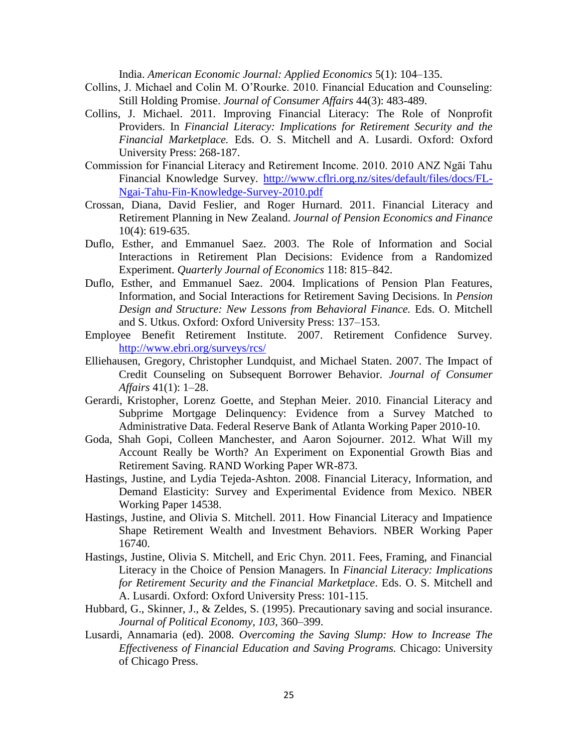India. *American Economic Journal: Applied Economics* 5(1): 104–135.

- Collins, J. Michael and Colin M. O'Rourke. 2010. Financial Education and Counseling: Still Holding Promise. *Journal of Consumer Affairs* 44(3): 483-489.
- Collins, J. Michael. 2011. Improving Financial Literacy: The Role of Nonprofit Providers. In *Financial Literacy: Implications for Retirement Security and the Financial Marketplace.* Eds. O. S. Mitchell and A. Lusardi. Oxford: Oxford University Press: 268-187.
- Commission for Financial Literacy and Retirement Income. 2010. 2010 ANZ Ngāi Tahu Financial Knowledge Survey. [http://www.cflri.org.nz/sites/default/files/docs/FL-](http://www.cflri.org.nz/sites/default/files/docs/FL-Ngai-Tahu-Fin-Knowledge-Survey-2010.pdf)[Ngai-Tahu-Fin-Knowledge-Survey-2010.pdf](http://www.cflri.org.nz/sites/default/files/docs/FL-Ngai-Tahu-Fin-Knowledge-Survey-2010.pdf)
- Crossan, Diana, David Feslier, and Roger Hurnard. 2011. Financial Literacy and Retirement Planning in New Zealand. *Journal of Pension Economics and Finance* 10(4): 619-635.
- Duflo, Esther, and Emmanuel Saez. 2003. The Role of Information and Social Interactions in Retirement Plan Decisions: Evidence from a Randomized Experiment. *Quarterly Journal of Economics* 118: 815–842.
- Duflo, Esther, and Emmanuel Saez. 2004. Implications of Pension Plan Features, Information, and Social Interactions for Retirement Saving Decisions. In *Pension Design and Structure: New Lessons from Behavioral Finance.* Eds. O. Mitchell and S. Utkus. Oxford: Oxford University Press: 137–153.
- Employee Benefit Retirement Institute. 2007. Retirement Confidence Survey. <http://www.ebri.org/surveys/rcs/>
- Elliehausen, Gregory, Christopher Lundquist, and Michael Staten. 2007. The Impact of Credit Counseling on Subsequent Borrower Behavior. *Journal of Consumer Affairs* 41(1): 1–28.
- Gerardi, Kristopher, Lorenz Goette, and Stephan Meier. 2010. Financial Literacy and Subprime Mortgage Delinquency: Evidence from a Survey Matched to Administrative Data. Federal Reserve Bank of Atlanta Working Paper 2010-10.
- Goda, Shah Gopi, Colleen Manchester, and Aaron Sojourner. 2012. What Will my Account Really be Worth? An Experiment on Exponential Growth Bias and Retirement Saving. RAND Working Paper WR-873.
- Hastings, Justine, and Lydia Tejeda-Ashton. 2008. Financial Literacy, Information, and Demand Elasticity: Survey and Experimental Evidence from Mexico. NBER Working Paper 14538.
- Hastings, Justine, and Olivia S. Mitchell. 2011. How Financial Literacy and Impatience Shape Retirement Wealth and Investment Behaviors. NBER Working Paper 16740.
- Hastings, Justine, Olivia S. Mitchell, and Eric Chyn. 2011. Fees, Framing, and Financial Literacy in the Choice of Pension Managers. In *Financial Literacy: Implications for Retirement Security and the Financial Marketplace*. Eds. O. S. Mitchell and A. Lusardi. Oxford: Oxford University Press: 101-115.
- Hubbard, G., Skinner, J., & Zeldes, S. (1995). Precautionary saving and social insurance. *Journal of Political Economy, 103,* 360–399.
- Lusardi, Annamaria (ed). 2008. *Overcoming the Saving Slump: How to Increase The Effectiveness of Financial Education and Saving Programs.* Chicago: University of Chicago Press.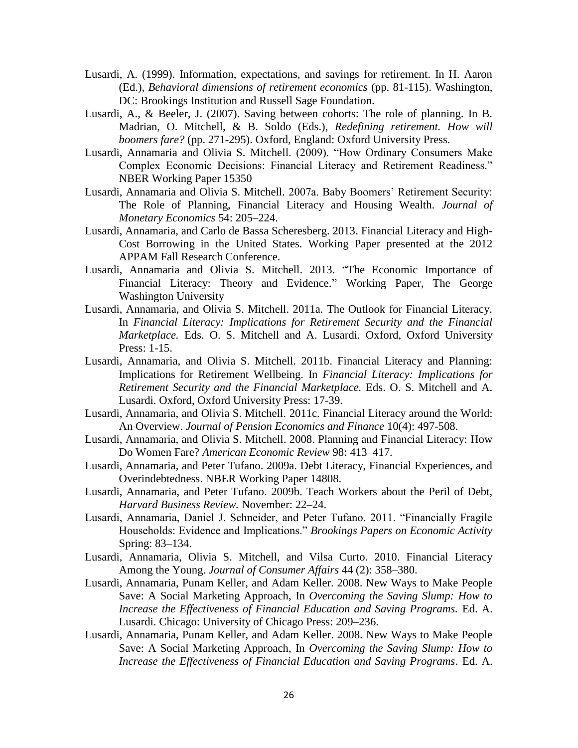- Lusardi, A. (1999). Information, expectations, and savings for retirement. In H. Aaron (Ed.), *Behavioral dimensions of retirement economics* (pp. 81-115). Washington, DC: Brookings Institution and Russell Sage Foundation.
- Lusardi, A., & Beeler, J. (2007). Saving between cohorts: The role of planning. In B. Madrian, O. Mitchell, & B. Soldo (Eds.), *Redefining retirement. How will boomers fare?* (pp. 271-295). Oxford, England: Oxford University Press.
- Lusardi, Annamaria and Olivia S. Mitchell. (2009). "How Ordinary Consumers Make Complex Economic Decisions: Financial Literacy and Retirement Readiness." NBER Working Paper 15350
- Lusardi, Annamaria and Olivia S. Mitchell. 2007a. Baby Boomers' Retirement Security: The Role of Planning, Financial Literacy and Housing Wealth. *Journal of Monetary Economics* 54: 205–224.
- Lusardi, Annamaria, and Carlo de Bassa Scheresberg. 2013. Financial Literacy and High-Cost Borrowing in the United States. Working Paper presented at the 2012 APPAM Fall Research Conference.
- Lusardi, Annamaria and Olivia S. Mitchell. 2013. "The Economic Importance of Financial Literacy: Theory and Evidence." Working Paper, The George Washington University
- Lusardi, Annamaria, and Olivia S. Mitchell. 2011a. The Outlook for Financial Literacy. In *Financial Literacy: Implications for Retirement Security and the Financial Marketplace.* Eds. O. S. Mitchell and A. Lusardi. Oxford, Oxford University Press: 1-15.
- Lusardi, Annamaria, and Olivia S. Mitchell. 2011b. Financial Literacy and Planning: Implications for Retirement Wellbeing. In *Financial Literacy: Implications for Retirement Security and the Financial Marketplace.* Eds. O. S. Mitchell and A. Lusardi. Oxford, Oxford University Press: 17-39.
- Lusardi, Annamaria, and Olivia S. Mitchell. 2011c. Financial Literacy around the World: An Overview. *Journal of Pension Economics and Finance* 10(4): 497-508.
- Lusardi, Annamaria, and Olivia S. Mitchell. 2008. Planning and Financial Literacy: How Do Women Fare? *American Economic Review* 98: 413–417.
- Lusardi, Annamaria, and Peter Tufano. 2009a. Debt Literacy, Financial Experiences, and Overindebtedness. NBER Working Paper 14808.
- Lusardi, Annamaria, and Peter Tufano. 2009b. Teach Workers about the Peril of Debt, *Harvard Business Review.* November: 22–24.
- Lusardi, Annamaria, Daniel J. Schneider, and Peter Tufano. 2011. "Financially Fragile Households: Evidence and Implications." *Brookings Papers on Economic Activity* Spring: 83–134.
- Lusardi, Annamaria, Olivia S. Mitchell, and Vilsa Curto. 2010. Financial Literacy Among the Young. *Journal of Consumer Affairs* 44 (2): 358–380.
- Lusardi, Annamaria, Punam Keller, and Adam Keller. 2008. New Ways to Make People Save: A Social Marketing Approach, In *Overcoming the Saving Slump: How to Increase the Effectiveness of Financial Education and Saving Programs.* Ed. A. Lusardi. Chicago: University of Chicago Press: 209–236.
- Lusardi, Annamaria, Punam Keller, and Adam Keller. 2008. New Ways to Make People Save: A Social Marketing Approach, In *Overcoming the Saving Slump: How to Increase the Effectiveness of Financial Education and Saving Programs*. Ed. A.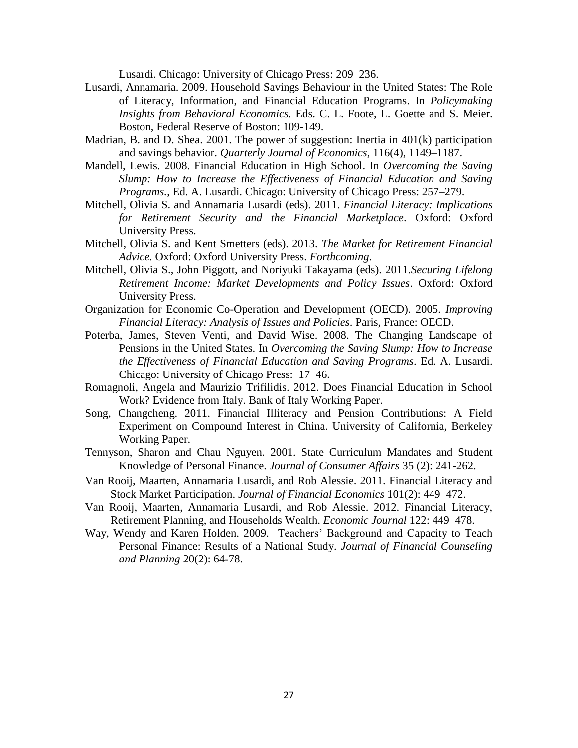Lusardi. Chicago: University of Chicago Press: 209–236.

- Lusardi, Annamaria. 2009. Household Savings Behaviour in the United States: The Role of Literacy, Information, and Financial Education Programs. In *Policymaking Insights from Behavioral Economics.* Eds. C. L. Foote, L. Goette and S. Meier. Boston, Federal Reserve of Boston: 109-149.
- Madrian, B. and D. Shea. 2001. The power of suggestion: Inertia in 401(k) participation and savings behavior. *Quarterly Journal of Economics*, 116(4), 1149–1187.
- Mandell, Lewis. 2008. Financial Education in High School. In *Overcoming the Saving Slump: How to Increase the Effectiveness of Financial Education and Saving Programs.*, Ed. A. Lusardi. Chicago: University of Chicago Press: 257–279.
- Mitchell, Olivia S. and Annamaria Lusardi (eds). 2011. *Financial Literacy: Implications for Retirement Security and the Financial Marketplace*. Oxford: Oxford University Press.
- Mitchell, Olivia S. and Kent Smetters (eds). 2013. *The Market for Retirement Financial Advice.* Oxford: Oxford University Press. *Forthcoming*.
- Mitchell, Olivia S., John Piggott, and Noriyuki Takayama (eds). 2011.*Securing Lifelong Retirement Income: Market Developments and Policy Issues*. Oxford: Oxford University Press.
- Organization for Economic Co-Operation and Development (OECD). 2005. *Improving Financial Literacy: Analysis of Issues and Policies*. Paris, France: OECD.
- Poterba, James, Steven Venti, and David Wise. 2008. The Changing Landscape of Pensions in the United States. In *Overcoming the Saving Slump: How to Increase the Effectiveness of Financial Education and Saving Programs*. Ed. A. Lusardi. Chicago: University of Chicago Press: 17–46.
- Romagnoli, Angela and Maurizio Trifilidis. 2012. Does Financial Education in School Work? Evidence from Italy. Bank of Italy Working Paper.
- Song, Changcheng. 2011. Financial Illiteracy and Pension Contributions: A Field Experiment on Compound Interest in China. University of California, Berkeley Working Paper.
- Tennyson, Sharon and Chau Nguyen. 2001. State Curriculum Mandates and Student Knowledge of Personal Finance. *Journal of Consumer Affairs* 35 (2): 241-262.
- Van Rooij, Maarten, Annamaria Lusardi, and Rob Alessie. 2011. Financial Literacy and Stock Market Participation. *Journal of Financial Economics* 101(2): 449–472.
- Van Rooij, Maarten, Annamaria Lusardi, and Rob Alessie. 2012. Financial Literacy, Retirement Planning, and Households Wealth. *Economic Journal* 122: 449–478.
- Way, Wendy and Karen Holden. 2009. Teachers' Background and Capacity to Teach Personal Finance: Results of a National Study. *Journal of Financial Counseling and Planning* 20(2): 64-78.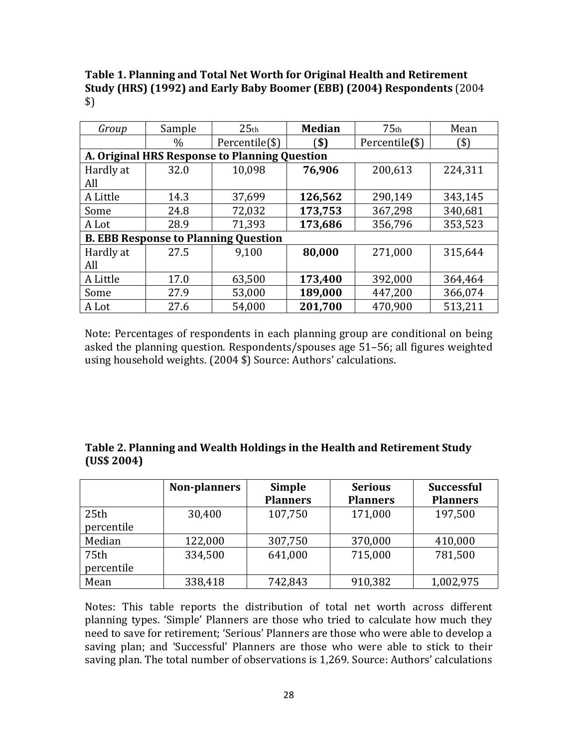**Table 1. Planning and Total Net Worth for Original Health and Retirement Study (HRS) (1992) and Early Baby Boomer (EBB) (2004) Respondents** (2004 \$)

| Group                                         | Sample | 25 <sub>th</sub> | <b>Median</b><br>75 <sub>th</sub> |                | Mean    |  |  |  |
|-----------------------------------------------|--------|------------------|-----------------------------------|----------------|---------|--|--|--|
|                                               | $\%$   | Percentile(\$)   | ้\$)                              | Percentile(\$) | (\$)    |  |  |  |
| A. Original HRS Response to Planning Question |        |                  |                                   |                |         |  |  |  |
| Hardly at                                     | 32.0   | 10,098           | 76,906                            | 200,613        | 224,311 |  |  |  |
| All                                           |        |                  |                                   |                |         |  |  |  |
| A Little                                      | 14.3   | 37,699           | 126,562                           | 290,149        | 343,145 |  |  |  |
| Some                                          | 24.8   | 72,032           | 173,753                           | 367,298        | 340,681 |  |  |  |
| A Lot                                         | 28.9   | 71,393           | 173,686                           | 356,796        | 353,523 |  |  |  |
| <b>B. EBB Response to Planning Question</b>   |        |                  |                                   |                |         |  |  |  |
| Hardly at                                     | 27.5   | 9,100            | 80,000                            | 271,000        | 315,644 |  |  |  |
| All                                           |        |                  |                                   |                |         |  |  |  |
| A Little                                      | 17.0   | 63,500           | 173,400                           | 392,000        | 364,464 |  |  |  |
| Some                                          | 27.9   | 53,000           | 189,000                           | 447,200        | 366,074 |  |  |  |
| A Lot                                         | 27.6   | 54,000           | 201,700                           | 470,900        | 513,211 |  |  |  |

Note: Percentages of respondents in each planning group are conditional on being asked the planning question. Respondents/spouses age 51–56; all figures weighted using household weights. (2004 \$) Source: Authors' calculations.

| Table 2. Planning and Wealth Holdings in the Health and Retirement Study |
|--------------------------------------------------------------------------|
| (US\$ 2004)                                                              |

|            | <b>Non-planners</b> | <b>Simple</b>   | <b>Serious</b>  | <b>Successful</b> |
|------------|---------------------|-----------------|-----------------|-------------------|
|            |                     | <b>Planners</b> | <b>Planners</b> | <b>Planners</b>   |
| 25th       | 30,400              | 107,750         | 171,000         | 197,500           |
| percentile |                     |                 |                 |                   |
| Median     | 122,000             | 307,750         | 370,000         | 410,000           |
| 75th       | 334,500             | 641,000         | 715,000         | 781,500           |
| percentile |                     |                 |                 |                   |
| Mean       | 338,418             | 742,843         | 910,382         | 1,002,975         |

Notes: This table reports the distribution of total net worth across different planning types. 'Simple' Planners are those who tried to calculate how much they need to save for retirement; 'Serious' Planners are those who were able to develop a saving plan; and 'Successful' Planners are those who were able to stick to their saving plan. The total number of observations is 1,269. Source: Authors' calculations